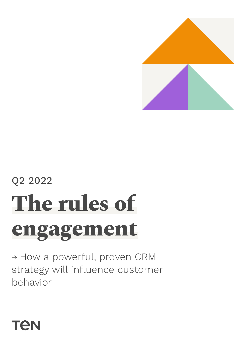

# Q2 2022 **The rules of engagement**

→ How a powerful, proven CRM strategy will influence customer behavior

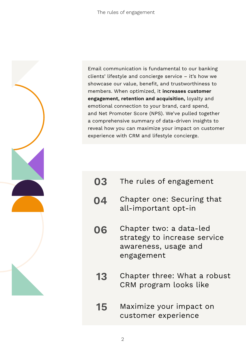

Email communication is fundamental to our banking clients' lifestyle and concierge service – it's how we showcase our value, benefit, and trustworthiness to members. When optimized, it **increases customer engagement, retention and acquisition,** loyalty and emotional connection to your brand, card spend, and Net Promoter Score (NPS). We've pulled together a comprehensive summary of data-driven insights to reveal how you can maximize your impact on customer experience with CRM and lifestyle concierge.

- **03** The rules of engagement
- **04**  Chapter one: Securing that all-important opt-in
- **06** Chapter two: a data-led strategy to increase service awareness, usage and engagement
- **13** Chapter three: What a robust CRM program looks like
- **15** Maximize your impact on customer experience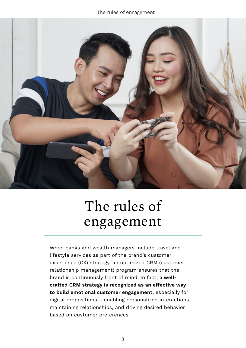

## The rules of engagement

When banks and wealth managers include travel and lifestyle services as part of the brand's customer experience (CX) strategy, an optimized CRM (customer relationship management) program ensures that the brand is continuously front of mind. In fact, **a wellcrafted CRM strategy is recognized as an effective way to build emotional customer engagement,** especially for digital propositions – enabling personalized interactions, maintaining relationships, and driving desired behavior based on customer preferences.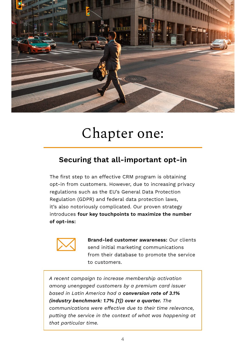

## Chapter one:

### **Securing that all-important opt-in**

The first step to an effective CRM program is obtaining opt-in from customers. However, due to increasing privacy regulations such as the EU's General Data Protection Regulation (GDPR) and federal data protection laws, it's also notoriously complicated. Our proven strategy introduces **four key touchpoints to maximize the number of opt-ins:** 



**Brand-led customer awareness:** Our clients send initial marketing communications from their database to promote the service to customers.

*A recent campaign to increase membership activation among unengaged customers by a premium card issuer based in Latin America had a conversion rate of 3.1% (industry benchmark: 1.7% [1]) over a quarter. The communications were effective due to their time relevance, putting the service in the context of what was happening at that particular time.*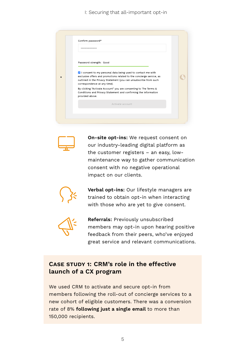#### I: Securing that all-important opt-in

| Confirm password*                                                                                                                                                                                                                                                  |  |
|--------------------------------------------------------------------------------------------------------------------------------------------------------------------------------------------------------------------------------------------------------------------|--|
| Password strength: Good<br>I consent to my personal data being used to contact me with<br>exclusive offers and promotions related to the concierge service, as<br>outlined in the Privacy Statement (you can unsubscribe from such<br>correspondence at any time). |  |
| By clicking "Activate Account" you are consenting to The Terms &<br>Conditions and Privacy Statement and confirming the information<br>provided above.                                                                                                             |  |
| Activate account                                                                                                                                                                                                                                                   |  |
|                                                                                                                                                                                                                                                                    |  |



**On-site opt-ins:** We request consent on our industry-leading digital platform as the customer registers – an easy, lowmaintenance way to gather communication consent with no negative operational impact on our clients.



**Verbal opt-ins:** Our lifestyle managers are trained to obtain opt-in when interacting with those who are yet to give consent.



**Referrals:** Previously unsubscribed members may opt-in upon hearing positive feedback from their peers, who've enjoyed great service and relevant communications.

#### **Case study 1: CRM's role in the effective launch of a CX program**

We used CRM to activate and secure opt-in from members following the roll-out of concierge services to a new cohort of eligible customers. There was a conversion rate of 8% **following just a single email** to more than 150,000 recipients.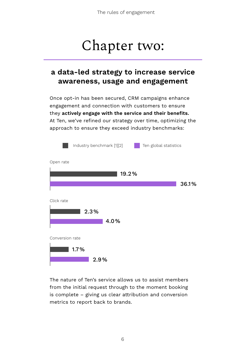## Chapter two:

### **a data-led strategy to increase service awareness, usage and engagement**

Once opt-in has been secured, CRM campaigns enhance engagement and connection with customers to ensure they **actively engage with the service and their benefits.**  At Ten, we've refined our strategy over time, optimizing the approach to ensure they exceed industry benchmarks:



The nature of Ten's service allows us to assist members from the initial request through to the moment booking is complete – giving us clear attribution and conversion metrics to report back to brands.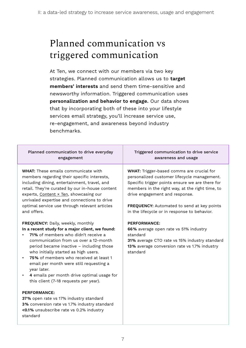### Planned communication vs triggered communication

At Ten, we connect with our members via two key strategies. Planned communication allows us to **target members' interests** and send them time-sensitive and newsworthy information. Triggered communication uses **personalization and behavior to engage.** Our data shows that by incorporating both of these into your lifestyle services email strategy, you'll increase service use, re-engagement, and awareness beyond industry benchmarks.

| Planned communication to drive everyday<br>engagement                                                                                                                                                                                                                                                                                                                                                                                               | Triggered communication to drive service<br>awareness and usage                                                                                                                                                                                                                                                                |
|-----------------------------------------------------------------------------------------------------------------------------------------------------------------------------------------------------------------------------------------------------------------------------------------------------------------------------------------------------------------------------------------------------------------------------------------------------|--------------------------------------------------------------------------------------------------------------------------------------------------------------------------------------------------------------------------------------------------------------------------------------------------------------------------------|
| <b>WHAT:</b> These emails communicate with<br>members regarding their specific interests,<br>including dining, entertainment, travel, and<br>retail. They're curated by our in-house content<br>experts, Content x Ten, showcasing our<br>unrivaled expertise and connections to drive<br>optimal service use through relevant articles<br>and offers.                                                                                              | WHAT: Trigger-based comms are crucial for<br>personalized customer lifecycle management.<br>Specific trigger points ensure we are there for<br>members in the right way, at the right time, to<br>drive engagement and response.<br>FREQUENCY: Automated to send at key points<br>in the lifecycle or in response to behavior. |
| FREQUENCY: Daily, weekly, monthly<br>In a recent study for a major client, we found:<br>71% of members who didn't receive a<br>communication from us over a 12-month<br>period became inactive – including those<br>who initially started as high users.<br>75% of members who received at least 1<br>email per month were still requesting a<br>year later.<br>4 emails per month drive optimal usage for<br>this client (7-18 requests per year). | <b>PERFORMANCE:</b><br>66% average open rate vs 51% industry<br>standard<br>31% average CTO rate vs 15% industry standard<br>13% average conversion rate vs 1.7% industry<br>standard                                                                                                                                          |
| <b>PERFORMANCE:</b><br>37% open rate vs 17% industry standard<br>3% conversion rate vs 1.7% industry standard<br><0.1% unsubscribe rate vs 0.2% industry<br>standard                                                                                                                                                                                                                                                                                |                                                                                                                                                                                                                                                                                                                                |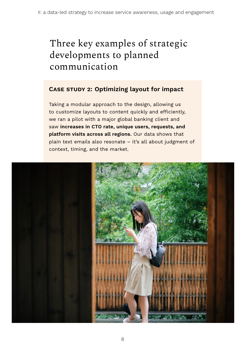### Three key examples of strategic developments to planned communication

### **Case study 2: Optimizing layout for impact**

Taking a modular approach to the design, allowing us to customize layouts to content quickly and efficiently, we ran a pilot with a major global banking client and saw **increases in CTO rate, unique users, requests, and platform visits across all regions.** Our data shows that plain text emails also resonate – it's all about judgment of context, timing, and the market.

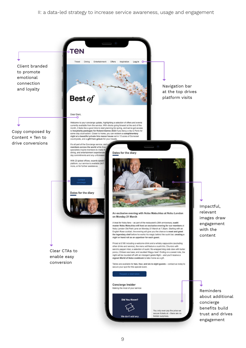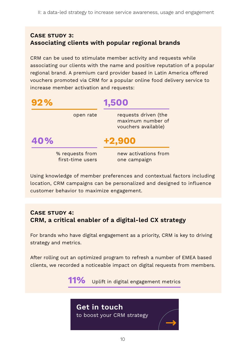### **Case study 3: Associating clients with popular regional brands**

CRM can be used to stimulate member activity and requests while associating our clients with the name and positive reputation of a popular regional brand. A premium card provider based in Latin America offered vouchers promoted via CRM for a popular online food delivery service to increase member activation and requests:

| 92%       | 1,500                                                            |  |
|-----------|------------------------------------------------------------------|--|
| open rate | requests driven (the<br>maximum number of<br>vouchers available) |  |
|           |                                                                  |  |
| 40%       | +2,900                                                           |  |

Using knowledge of member preferences and contextual factors including location, CRM campaigns can be personalized and designed to influence customer behavior to maximize engagement.

### **Case study 4: CRM, a critical enabler of a digital-led CX strategy**

For brands who have digital engagement as a priority, CRM is key to driving strategy and metrics.

After rolling out an optimized program to refresh a number of EMEA based clients, we recorded a noticeable impact on digital requests from members.

**11%** Uplift in digital engagement metrics

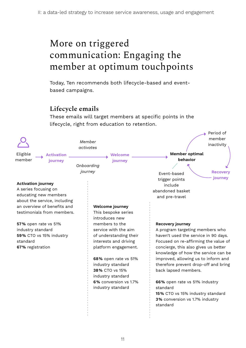### More on triggered communication: Engaging the member at optimum touchpoints

Today, Ten recommends both lifecycle-based and eventbased campaigns.

### **Lifecycle emails**

These emails will target members at specific points in the lifecycle, right from education to retention.

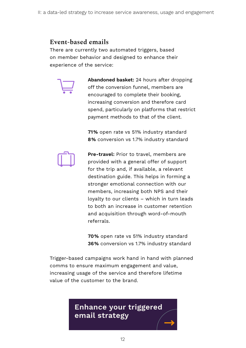### **Event-based emails**

There are currently two automated triggers, based on member behavior and designed to enhance their experience of the service:



**Abandoned basket:** 24 hours after dropping off the conversion funnel, members are encouraged to complete their booking, increasing conversion and therefore card spend, particularly on platforms that restrict payment methods to that of the client.

**71%** open rate vs 51% industry standard **8%** conversion vs 1.7% industry standard



**Pre-travel:** Prior to travel, members are provided with a general offer of support for the trip and, if available, a relevant destination guide. This helps in forming a stronger emotional connection with our members, increasing both NPS and their loyalty to our clients – which in turn leads to both an increase in customer retention and acquisition through word-of-mouth referrals.

**70%** open rate vs 51% industry standard **36%** conversion vs 1.7% industry standard

Trigger-based campaigns work hand in hand with planned comms to ensure maximum engagement and value, increasing usage of the service and therefore lifetime value of the customer to the brand.

### **[Enhance your triggered](mailto:businessdevelopment%40tengroup.com?subject=I%27m%20interested%20in%20boosting%20my%20CRM%20strategy)  email strategy**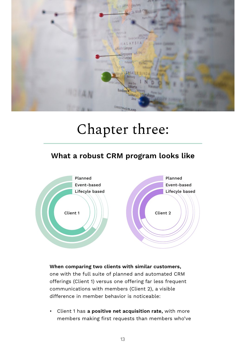

## Chapter three:

### **What a robust CRM program looks like**



### **When comparing two clients with similar customers,**

one with the full suite of planned and automated CRM offerings (Client 1) versus one offering far less frequent communications with members (Client 2), a visible difference in member behavior is noticeable:

• Client 1 has **a positive net acquisition rate,** with more members making first requests than members who've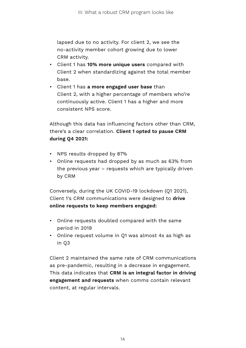lapsed due to no activity. For client 2, we see the no-activity member cohort growing due to lower CRM activity.

- Client 1 has **10% more unique users** compared with Client 2 when standardizing against the total member base.
- Client 1 has **a more engaged user base** than Client 2, with a higher percentage of members who're continuously active. Client 1 has a higher and more consistent NPS score.

Although this data has influencing factors other than CRM, there's a clear correlation. **Client 1 opted to pause CRM during Q4 2021:** 

- NPS results dropped by 87%
- Online requests had dropped by as much as 63% from the previous year – requests which are typically driven by CRM

Conversely, during the UK COVID-19 lockdown (Q1 2021), Client 1's CRM communications were designed to **drive online requests to keep members engaged:**

- Online requests doubled compared with the same period in 2019
- Online request volume in Q1 was almost 4x as high as in Q3

Client 2 maintained the same rate of CRM communications as pre-pandemic, resulting in a decrease in engagement. This data indicates that **CRM is an integral factor in driving engagement and requests** when comms contain relevant content, at regular intervals.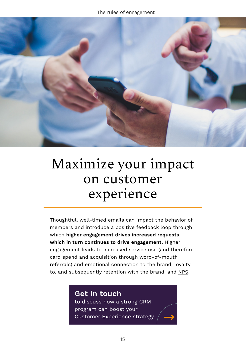The rules of engagement



## Maximize your impact on customer experience

Thoughtful, well-timed emails can impact the behavior of members and introduce a positive feedback loop through which **higher engagement drives increased requests, which in turn continues to drive engagement.** Higher engagement leads to increased service use (and therefore card spend and acquisition through word-of-mouth referrals) and emotional connection to the brand, loyalty to, and subsequently retention with the brand, and [NPS.](https://tenlifestylegroup.com/2021/09/30/how-to-drive-your-banks-net-promoter-score-performance/)

### **Get in touch**

to discuss how a strong CRM program can boost your [Customer Experience strategy](mailto:businessdevelopment%40tengroup.com?subject=I%27m%20interested%20in%20boosting%20my%20CX%20strategy)